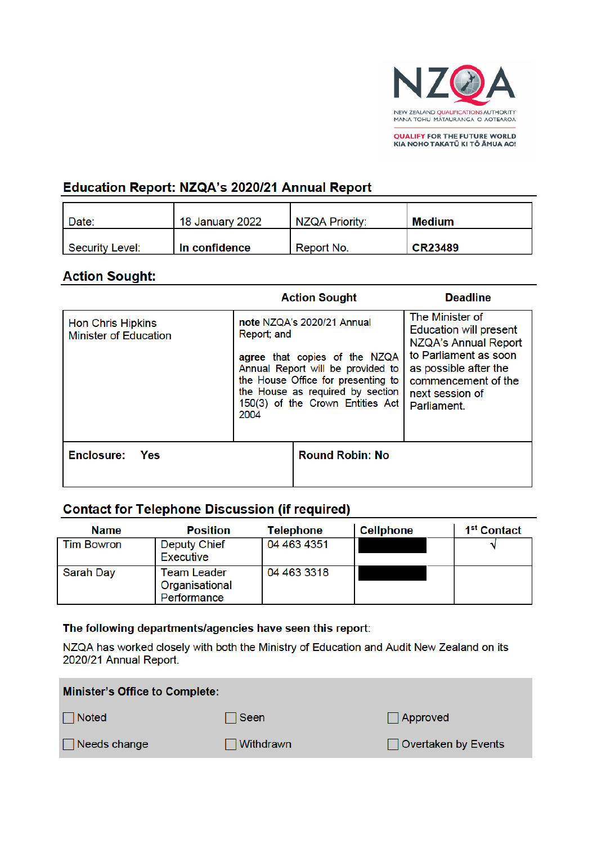

**QUALIFY FOR THE FUTURE WORLD<br>KIA NOHO TAKATŪ KI TŌ ĀMUA AO!** 

# Education Report: NZQA's 2020/21 Annual Report

| Date:           | 18 January 2022 | <b>NZQA Priority:</b> | Medium         |
|-----------------|-----------------|-----------------------|----------------|
| Security Level: | In confidence   | Report No.            | <b>CR23489</b> |

# **Action Sought:**

|                                                          |                                                                                                                                                                                                                                       | <b>Action Sought</b>   | <b>Deadline</b>                                                                                                                                                                     |
|----------------------------------------------------------|---------------------------------------------------------------------------------------------------------------------------------------------------------------------------------------------------------------------------------------|------------------------|-------------------------------------------------------------------------------------------------------------------------------------------------------------------------------------|
| <b>Hon Chris Hipkins</b><br><b>Minister of Education</b> | note NZQA's 2020/21 Annual<br>Report; and<br>agree that copies of the NZQA<br>Annual Report will be provided to<br>the House Office for presenting to<br>the House as required by section<br>150(3) of the Crown Entities Act<br>2004 |                        | The Minister of<br><b>Education will present</b><br>NZQA's Annual Report<br>to Parliament as soon<br>as possible after the<br>commencement of the<br>next session of<br>Parliament. |
| Enclosure:<br>Yes                                        |                                                                                                                                                                                                                                       | <b>Round Robin: No</b> |                                                                                                                                                                                     |

# **Contact for Telephone Discussion (if required)**

| <b>Name</b>  | <b>Position</b>                              | <b>Telephone</b> | <b>Cellphone</b> | 1 <sup>st</sup> Contact |
|--------------|----------------------------------------------|------------------|------------------|-------------------------|
| l Tim Bowron | <b>Deputy Chief</b><br>Executive             | 04 463 4351      |                  |                         |
| Sarah Day    | Team Leader<br>Organisational<br>Performance | 04 463 3318      |                  |                         |

#### The following departments/agencies have seen this report:

NZQA has worked closely with both the Ministry of Education and Audit New Zealand on its 2020/21 Annual Report.

| <b>Minister's Office to Complete:</b> |                  |                            |  |
|---------------------------------------|------------------|----------------------------|--|
| $\Box$ Noted                          | ∃Seen            | Approved                   |  |
| $\Box$ Needs change                   | $\Box$ Withdrawn | $\Box$ Overtaken by Events |  |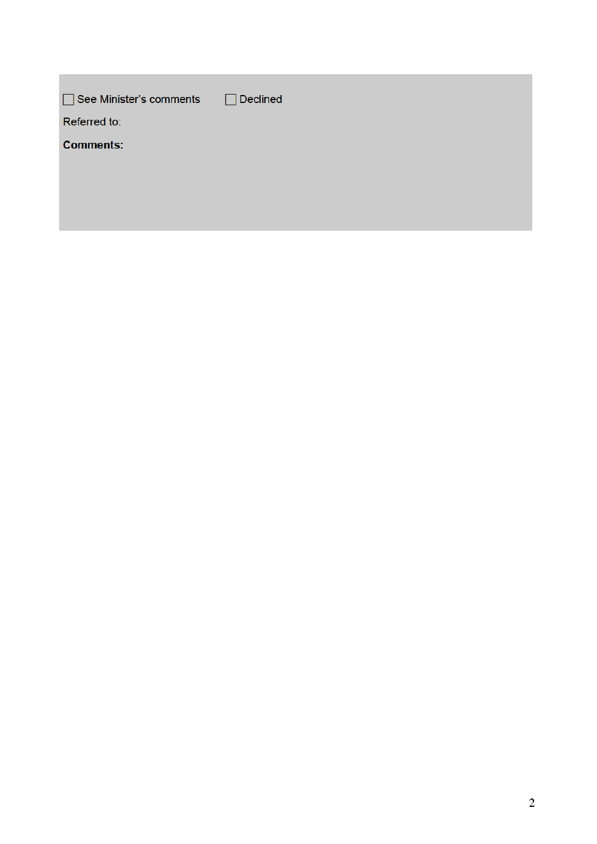| □ See Minister's comments | Declined<br>$\mathsf{L}$ |
|---------------------------|--------------------------|
| Referred to:              |                          |
| <b>Comments:</b>          |                          |
|                           |                          |
|                           |                          |
|                           |                          |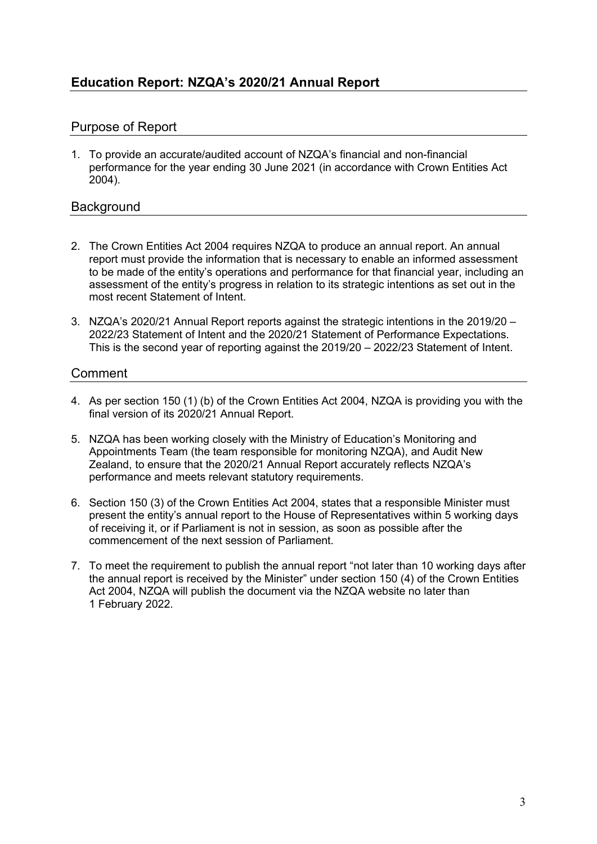# Purpose of Report

1. To provide an accurate/audited account of NZQA's financial and non-financial performance for the year ending 30 June 2021 (in accordance with Crown Entities Act 2004).

### **Background**

- 2. The Crown Entities Act 2004 requires NZQA to produce an annual report. An annual report must provide the information that is necessary to enable an informed assessment to be made of the entity's operations and performance for that financial year, including an assessment of the entity's progress in relation to its strategic intentions as set out in the most recent Statement of Intent.
- 3. NZQA's 2020/21 Annual Report reports against the strategic intentions in the 2019/20 2022/23 Statement of Intent and the 2020/21 Statement of Performance Expectations. This is the second year of reporting against the 2019/20 – 2022/23 Statement of Intent.

### Comment

- 4. As per section 150 (1) (b) of the Crown Entities Act 2004, NZQA is providing you with the final version of its 2020/21 Annual Report.
- 5. NZQA has been working closely with the Ministry of Education's Monitoring and Appointments Team (the team responsible for monitoring NZQA), and Audit New Zealand, to ensure that the 2020/21 Annual Report accurately reflects NZQA's performance and meets relevant statutory requirements.
- 6. Section 150 (3) of the Crown Entities Act 2004, states that a responsible Minister must present the entity's annual report to the House of Representatives within 5 working days of receiving it, or if Parliament is not in session, as soon as possible after the commencement of the next session of Parliament.
- 7. To meet the requirement to publish the annual report "not later than 10 working days after the annual report is received by the Minister" under section 150 (4) of the Crown Entities Act 2004, NZQA will publish the document via the NZQA website no later than 1 February 2022.